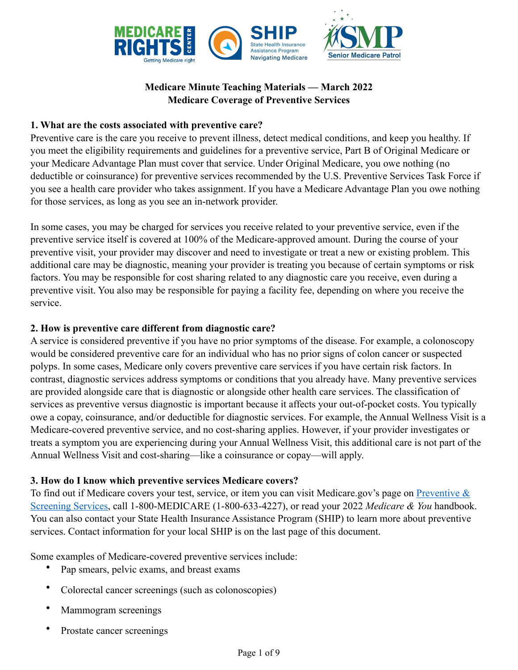

# **Medicare Minute Teaching Materials — March 2022 Medicare Coverage of Preventive Services**

#### **1. What are the costs associated with preventive care?**

Preventive care is the care you receive to prevent illness, detect medical conditions, and keep you healthy. If you meet the eligibility requirements and guidelines for a preventive service, Part B of Original Medicare or your Medicare Advantage Plan must cover that service. Under Original Medicare, you owe nothing (no deductible or coinsurance) for preventive services recommended by the U.S. Preventive Services Task Force if you see a health care provider who takes assignment. If you have a Medicare Advantage Plan you owe nothing for those services, as long as you see an in-network provider.

In some cases, you may be charged for services you receive related to your preventive service, even if the preventive service itself is covered at 100% of the Medicare-approved amount. During the course of your preventive visit, your provider may discover and need to investigate or treat a new or existing problem. This additional care may be diagnostic, meaning your provider is treating you because of certain symptoms or risk factors. You may be responsible for cost sharing related to any diagnostic care you receive, even during a preventive visit. You also may be responsible for paying a facility fee, depending on where you receive the service.

# **2. How is preventive care different from diagnostic care?**

A service is considered preventive if you have no prior symptoms of the disease. For example, a colonoscopy would be considered preventive care for an individual who has no prior signs of colon cancer or suspected polyps. In some cases, Medicare only covers preventive care services if you have certain risk factors. In contrast, diagnostic services address symptoms or conditions that you already have. Many preventive services are provided alongside care that is diagnostic or alongside other health care services. The classification of services as preventive versus diagnostic is important because it affects your out-of-pocket costs. You typically owe a copay, coinsurance, and/or deductible for diagnostic services. For example, the Annual Wellness Visit is a Medicare-covered preventive service, and no cost-sharing applies. However, if your provider investigates or treats a symptom you are experiencing during your Annual Wellness Visit, this additional care is not part of the Annual Wellness Visit and cost-sharing—like a coinsurance or copay—will apply.

#### **3. How do I know which preventive services Medicare covers?**

To find out if Medicare covers your test, service, or item you can visit Medicare.gov's page on [Preventive &](https://www.medicare.gov/coverage/preventive-screening-services)  [Screening Services,](https://www.medicare.gov/coverage/preventive-screening-services) call 1-800-MEDICARE (1-800-633-4227), or read your 2022 *Medicare & You* handbook. You can also contact your State Health Insurance Assistance Program (SHIP) to learn more about preventive services. Contact information for your local SHIP is on the last page of this document.

Some examples of Medicare-covered preventive services include:

- Pap smears, pelvic exams, and breast exams
- Colorectal cancer screenings (such as colonoscopies)
- Mammogram screenings
- Prostate cancer screenings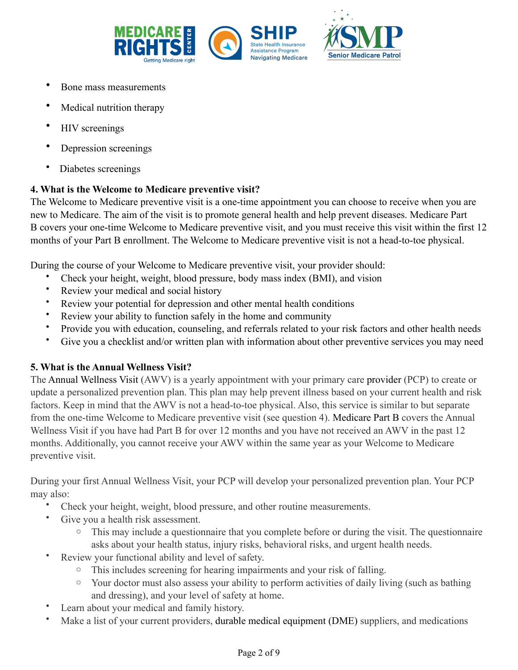

- Bone mass measurements
- Medical nutrition therapy
- HIV screenings
- Depression screenings
- Diabetes screenings

# **4. What is the Welcome to Medicare preventive visit?**

The Welcome to Medicare preventive visit is a one-time appointment you can choose to receive when you are new to Medicare. The aim of the visit is to promote general health and help prevent diseases. Medicare Part B covers your one-time Welcome to Medicare preventive visit, and you must receive this visit within the first 12 months of your Part B enrollment. The Welcome to Medicare preventive visit is not a head-to-toe physical.

During the course of your Welcome to Medicare preventive visit, your provider should:

- Check your height, weight, blood pressure, body mass index (BMI), and vision
- Review your medical and social history
- Review your potential for depression and other mental health conditions
- Review your ability to function safely in the home and community
- Provide you with education, counseling, and referrals related to your risk factors and other health needs
- Give you a checklist and/or written plan with information about other preventive services you may need

# **5. What is the Annual Wellness Visit?**

The Annual Wellness Visit (AWV) is a yearly appointment with your primary care provider (PCP) to create or update a personalized prevention plan. This plan may help prevent illness based on your current health and risk factors. Keep in mind that the AWV is not a head-to-toe physical. Also, this service is similar to but separate from the one-time Welcome to Medicare preventive visit (see question 4). Medicare Part B covers the Annual Wellness Visit if you have had Part B for over 12 months and you have not received an AWV in the past 12 months. Additionally, you cannot receive your AWV within the same year as your Welcome to Medicare preventive visit.

During your first Annual Wellness Visit, your PCP will develop your personalized prevention plan. Your PCP may also:

- Check your height, weight, blood pressure, and other routine measurements.
- Give you a health risk assessment.
	- $\circ$  This may include a questionnaire that you complete before or during the visit. The questionnaire asks about your health status, injury risks, behavioral risks, and urgent health needs.
- Review your functional ability and level of safety.
	- This includes screening for hearing impairments and your risk of falling.
	- o Your doctor must also assess your ability to perform activities of daily living (such as bathing and dressing), and your level of safety at home.
- Learn about your medical and family history.
- Make a list of your current providers, durable medical equipment (DME) suppliers, and medications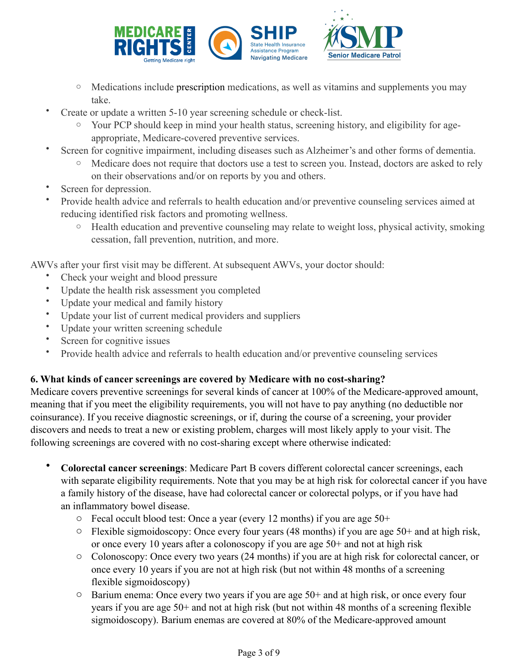

- o Medications include prescription medications, as well as vitamins and supplements you may take.
- Create or update a written 5-10 year screening schedule or check-list.
	- o Your PCP should keep in mind your health status, screening history, and eligibility for ageappropriate, Medicare-covered preventive services.
- Screen for cognitive impairment, including diseases such as Alzheimer's and other forms of dementia.
	- o Medicare does not require that doctors use a test to screen you. Instead, doctors are asked to rely on their observations and/or on reports by you and others.
- Screen for depression.
- Provide health advice and referrals to health education and/or preventive counseling services aimed at reducing identified risk factors and promoting wellness.
	- o Health education and preventive counseling may relate to weight loss, physical activity, smoking cessation, fall prevention, nutrition, and more.

AWVs after your first visit may be different. At subsequent AWVs, your doctor should:

- Check your weight and blood pressure
- Update the health risk assessment you completed
- Update your medical and family history
- Update your list of current medical providers and suppliers
- Update your written screening schedule
- Screen for cognitive issues
- Provide health advice and referrals to health education and/or preventive counseling services

# **6. What kinds of cancer screenings are covered by Medicare with no cost-sharing?**

Medicare covers preventive screenings for several kinds of cancer at 100% of the Medicare-approved amount, meaning that if you meet the eligibility requirements, you will not have to pay anything (no deductible nor coinsurance). If you receive diagnostic screenings, or if, during the course of a screening, your provider discovers and needs to treat a new or existing problem, charges will most likely apply to your visit. The following screenings are covered with no cost-sharing except where otherwise indicated:

- **Colorectal cancer screenings**: Medicare Part B covers different colorectal cancer screenings, each with separate eligibility requirements. Note that you may be at high risk for colorectal cancer if you have a family history of the disease, have had colorectal cancer or colorectal polyps, or if you have had an inflammatory bowel disease.
	- o Fecal occult blood test: Once a year (every 12 months) if you are age 50+
	- o Flexible sigmoidoscopy: Once every four years (48 months) if you are age 50+ and at high risk, or once every 10 years after a colonoscopy if you are age 50+ and not at high risk
	- o Colonoscopy: Once every two years (24 months) if you are at high risk for colorectal cancer, or once every 10 years if you are not at high risk (but not within 48 months of a screening flexible sigmoidoscopy)
	- o Barium enema: Once every two years if you are age 50+ and at high risk, or once every four years if you are age 50+ and not at high risk (but not within 48 months of a screening flexible sigmoidoscopy). Barium enemas are covered at 80% of the Medicare-approved amount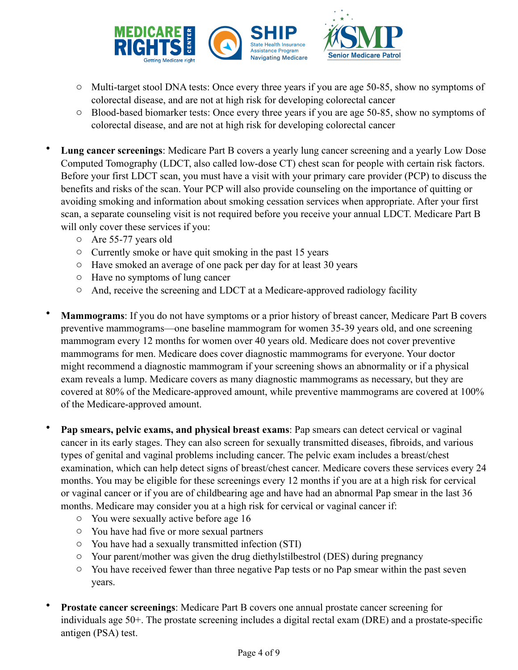

- o Multi-target stool DNA tests: Once every three years if you are age 50-85, show no symptoms of colorectal disease, and are not at high risk for developing colorectal cancer
- o Blood-based biomarker tests: Once every three years if you are age 50-85, show no symptoms of colorectal disease, and are not at high risk for developing colorectal cancer
- **Lung cancer screenings**: Medicare Part B covers a yearly lung cancer screening and a yearly Low Dose Computed Tomography (LDCT, also called low-dose CT) chest scan for people with certain risk factors. Before your first LDCT scan, you must have a visit with your primary care provider (PCP) to discuss the benefits and risks of the scan. Your PCP will also provide counseling on the importance of quitting or avoiding smoking and information about smoking cessation services when appropriate. After your first scan, a separate counseling visit is not required before you receive your annual LDCT. Medicare Part B will only cover these services if you:
	- o Are 55-77 years old
	- o Currently smoke or have quit smoking in the past 15 years
	- o Have smoked an average of one pack per day for at least 30 years
	- o Have no symptoms of lung cancer
	- o And, receive the screening and LDCT at a Medicare-approved radiology facility
- **Mammograms**: If you do not have symptoms or a prior history of breast cancer, Medicare Part B covers preventive mammograms—one baseline mammogram for women 35-39 years old, and one screening mammogram every 12 months for women over 40 years old. Medicare does not cover preventive mammograms for men. Medicare does cover diagnostic mammograms for everyone. Your doctor might recommend a diagnostic mammogram if your screening shows an abnormality or if a physical exam reveals a lump. Medicare covers as many diagnostic mammograms as necessary, but they are covered at 80% of the Medicare-approved amount, while preventive mammograms are covered at 100% of the Medicare-approved amount.
- **Pap smears, pelvic exams, and physical breast exams**: Pap smears can detect cervical or vaginal cancer in its early stages. They can also screen for sexually transmitted diseases, fibroids, and various types of genital and vaginal problems including cancer. The pelvic exam includes a breast/chest examination, which can help detect signs of breast/chest cancer. Medicare covers these services every 24 months. You may be eligible for these screenings every 12 months if you are at a high risk for cervical or vaginal cancer or if you are of childbearing age and have had an abnormal Pap smear in the last 36 months. Medicare may consider you at a high risk for cervical or vaginal cancer if:
	- o You were sexually active before age 16
	- o You have had five or more sexual partners
	- o You have had a sexually transmitted infection (STI)
	- o Your parent/mother was given the drug diethylstilbestrol (DES) during pregnancy
	- o You have received fewer than three negative Pap tests or no Pap smear within the past seven years.
- **Prostate cancer screenings**: Medicare Part B covers one annual prostate cancer screening for individuals age 50+. The prostate screening includes a digital rectal exam (DRE) and a prostate-specific antigen (PSA) test.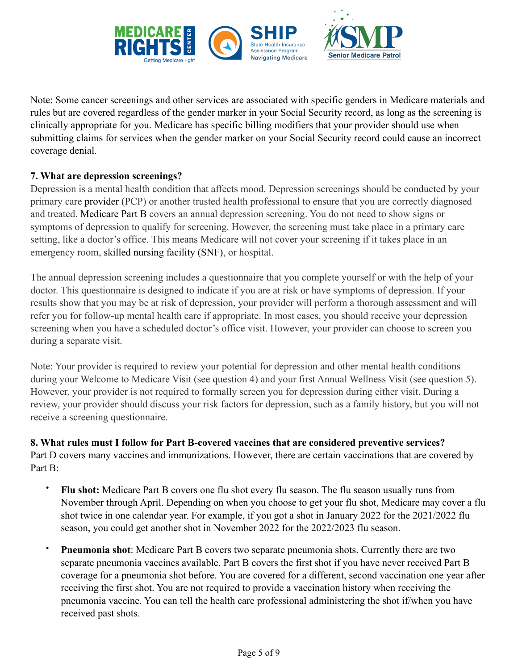

Note: Some cancer screenings and other services are associated with specific genders in Medicare materials and rules but are covered regardless of the gender marker in your Social Security record, as long as the screening is clinically appropriate for you. Medicare has specific billing modifiers that your provider should use when submitting claims for services when the gender marker on your Social Security record could cause an incorrect coverage denial.

# **7. What are depression screenings?**

Depression is a mental health condition that affects mood. Depression screenings should be conducted by your primary care provider (PCP) or another trusted health professional to ensure that you are correctly diagnosed and treated. Medicare Part B covers an annual depression screening. You do not need to show signs or symptoms of depression to qualify for screening. However, the screening must take place in a primary care setting, like a doctor's office. This means Medicare will not cover your screening if it takes place in an emergency room, skilled nursing facility (SNF), or hospital.

The annual depression screening includes a questionnaire that you complete yourself or with the help of your doctor. This questionnaire is designed to indicate if you are at risk or have symptoms of depression. If your results show that you may be at risk of depression, your provider will perform a thorough assessment and will refer you for follow-up mental health care if appropriate. In most cases, you should receive your depression screening when you have a scheduled doctor's office visit. However, your provider can choose to screen you during a separate visit.

Note: Your provider is required to review your potential for depression and other mental health conditions during your Welcome to Medicare Visit (see question 4) and your first Annual Wellness Visit (see question 5). However, your provider is not required to formally screen you for depression during either visit. During a review, your provider should discuss your risk factors for depression, such as a family history, but you will not receive a screening questionnaire.

**8. What rules must I follow for Part B-covered vaccines that are considered preventive services?** Part D covers many vaccines and immunizations. However, there are certain vaccinations that are covered by Part B:

- **Flu shot:** Medicare Part B covers one flu shot every flu season. The flu season usually runs from November through April. Depending on when you choose to get your flu shot, Medicare may cover a flu shot twice in one calendar year. For example, if you got a shot in January 2022 for the 2021/2022 flu season, you could get another shot in November 2022 for the 2022/2023 flu season.
- **Pneumonia shot**: Medicare Part B covers two separate pneumonia shots. Currently there are two separate pneumonia vaccines available. Part B covers the first shot if you have never received Part B coverage for a pneumonia shot before. You are covered for a different, second vaccination one year after receiving the first shot. You are not required to provide a vaccination history when receiving the pneumonia vaccine. You can tell the health care professional administering the shot if/when you have received past shots.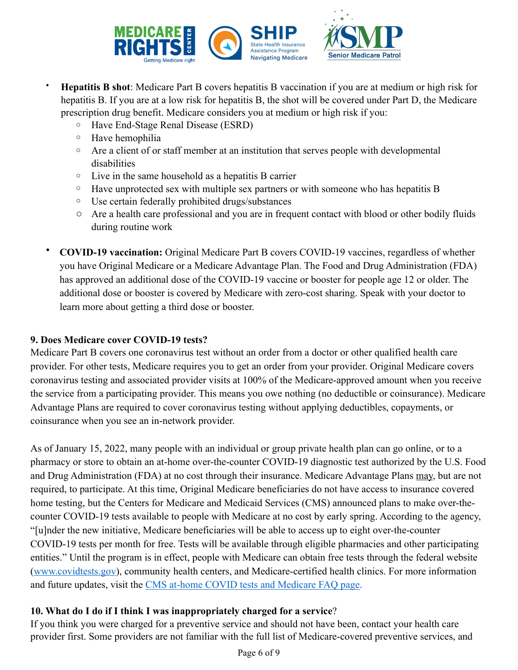

- **Hepatitis B shot**: Medicare Part B covers hepatitis B vaccination if you are at medium or high risk for hepatitis B. If you are at a low risk for hepatitis B, the shot will be covered under Part D, the Medicare prescription drug benefit. Medicare considers you at medium or high risk if you:
	- o Have End-Stage Renal Disease (ESRD)
	- o Have hemophilia
	- $\circ$  Are a client of or staff member at an institution that serves people with developmental disabilities
	- o Live in the same household as a hepatitis B carrier
	- $\circ$  Have unprotected sex with multiple sex partners or with someone who has hepatitis B
	- o Use certain federally prohibited drugs/substances
	- o Are a health care professional and you are in frequent contact with blood or other bodily fluids during routine work
- **COVID-19 vaccination:** Original Medicare Part B covers COVID-19 vaccines, regardless of whether you have Original Medicare or a Medicare Advantage Plan. The Food and Drug Administration (FDA) has approved an additional dose of the COVID-19 vaccine or booster for people age 12 or older. The additional dose or booster is covered by Medicare with zero-cost sharing. Speak with your doctor to learn more about getting a third dose or booster.

## **9. Does Medicare cover COVID-19 tests?**

Medicare Part B covers one coronavirus test without an order from a doctor or other qualified health care provider. For other tests, Medicare requires you to get an order from your provider. Original Medicare covers coronavirus testing and associated provider visits at 100% of the Medicare-approved amount when you receive the service from a participating provider. This means you owe nothing (no deductible or coinsurance). Medicare Advantage Plans are required to cover coronavirus testing without applying deductibles, copayments, or coinsurance when you see an in-network provider.

As of January 15, 2022, many people with an individual or group private health plan can go online, or to a pharmacy or store to obtain an at-home over-the-counter COVID-19 diagnostic test authorized by the U.S. Food and Drug Administration (FDA) at no cost through their insurance. Medicare Advantage Plans may, but are not required, to participate. At this time, Original Medicare beneficiaries do not have access to insurance covered home testing, but the Centers for Medicare and Medicaid Services (CMS) announced plans to make over-thecounter COVID-19 tests available to people with Medicare at no cost by early spring. According to the agency, "[u]nder the new initiative, Medicare beneficiaries will be able to access up to eight over-the-counter COVID-19 tests per month for free. Tests will be available through eligible pharmacies and other participating entities." Until the program is in effect, people with Medicare can obtain free tests through the federal website ([www.covidtests.gov](http://www.covidtests.gov)), community health centers, and Medicare-certified health clinics. For more information and future updates, visit the [CMS at-home COVID tests and Medicare FAQ page](https://www.cms.gov/files/document/covid-19-over-counter-otc-tests-medicare-frequently-asked-questions.pdf).

# **10. What do I do if I think I was inappropriately charged for a service**?

If you think you were charged for a preventive service and should not have been, contact your health care provider first. Some providers are not familiar with the full list of Medicare-covered preventive services, and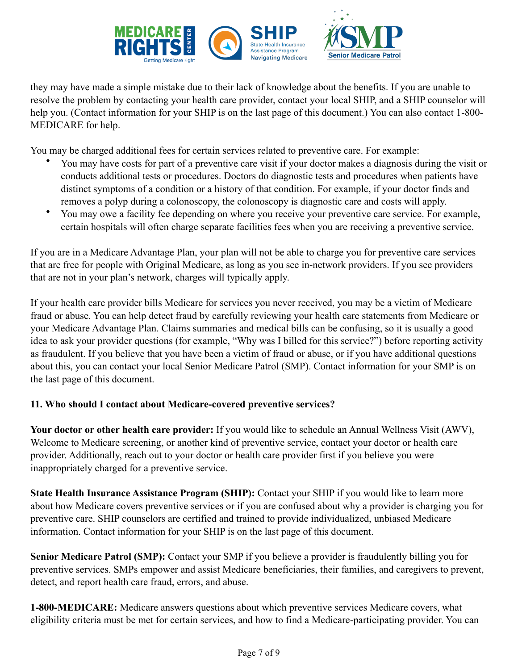

they may have made a simple mistake due to their lack of knowledge about the benefits. If you are unable to resolve the problem by contacting your health care provider, contact your local SHIP, and a SHIP counselor will help you. (Contact information for your SHIP is on the last page of this document.) You can also contact 1-800-MEDICARE for help.

You may be charged additional fees for certain services related to preventive care. For example:

- You may have costs for part of a preventive care visit if your doctor makes a diagnosis during the visit or conducts additional tests or procedures. Doctors do diagnostic tests and procedures when patients have distinct symptoms of a condition or a history of that condition. For example, if your doctor finds and removes a polyp during a colonoscopy, the colonoscopy is diagnostic care and costs will apply.
- You may owe a facility fee depending on where you receive your preventive care service. For example, certain hospitals will often charge separate facilities fees when you are receiving a preventive service.

If you are in a Medicare Advantage Plan, your plan will not be able to charge you for preventive care services that are free for people with Original Medicare, as long as you see in-network providers. If you see providers that are not in your plan's network, charges will typically apply.

If your health care provider bills Medicare for services you never received, you may be a victim of Medicare fraud or abuse. You can help detect fraud by carefully reviewing your health care statements from Medicare or your Medicare Advantage Plan. Claims summaries and medical bills can be confusing, so it is usually a good idea to ask your provider questions (for example, "Why was I billed for this service?") before reporting activity as fraudulent. If you believe that you have been a victim of fraud or abuse, or if you have additional questions about this, you can contact your local Senior Medicare Patrol (SMP). Contact information for your SMP is on the last page of this document.

# **11. Who should I contact about Medicare-covered preventive services?**

**Your doctor or other health care provider:** If you would like to schedule an Annual Wellness Visit (AWV), Welcome to Medicare screening, or another kind of preventive service, contact your doctor or health care provider. Additionally, reach out to your doctor or health care provider first if you believe you were inappropriately charged for a preventive service.

**State Health Insurance Assistance Program (SHIP):** Contact your SHIP if you would like to learn more about how Medicare covers preventive services or if you are confused about why a provider is charging you for preventive care. SHIP counselors are certified and trained to provide individualized, unbiased Medicare information. Contact information for your SHIP is on the last page of this document.

**Senior Medicare Patrol (SMP):** Contact your SMP if you believe a provider is fraudulently billing you for preventive services. SMPs empower and assist Medicare beneficiaries, their families, and caregivers to prevent, detect, and report health care fraud, errors, and abuse.

**1-800-MEDICARE:** Medicare answers questions about which preventive services Medicare covers, what eligibility criteria must be met for certain services, and how to find a Medicare-participating provider. You can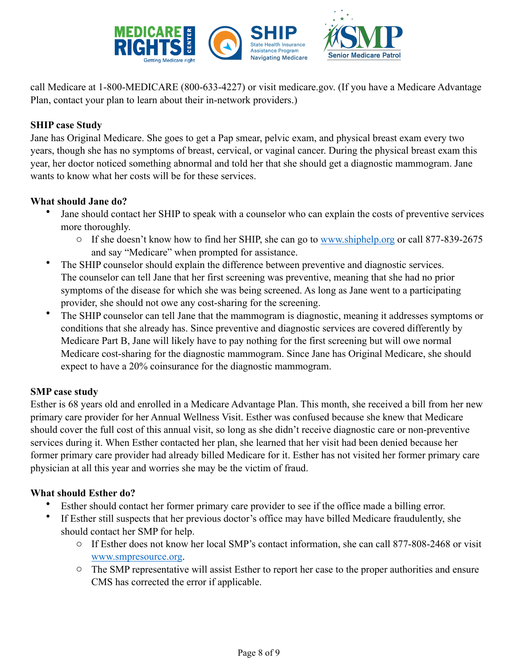

call Medicare at 1-800-MEDICARE (800-633-4227) or visit medicare.gov. (If you have a Medicare Advantage Plan, contact your plan to learn about their in-network providers.)

## **SHIP case Study**

Jane has Original Medicare. She goes to get a Pap smear, pelvic exam, and physical breast exam every two years, though she has no symptoms of breast, cervical, or vaginal cancer. During the physical breast exam this year, her doctor noticed something abnormal and told her that she should get a diagnostic mammogram. Jane wants to know what her costs will be for these services.

#### **What should Jane do?**

- Jane should contact her SHIP to speak with a counselor who can explain the costs of preventive services more thoroughly.
	- If she doesn't know how to find her SHIP, she can go to [www.shiphelp.org](http://www.shiphelp.org) or call 877-839-2675 and say "Medicare" when prompted for assistance.
- The SHIP counselor should explain the difference between preventive and diagnostic services. The counselor can tell Jane that her first screening was preventive, meaning that she had no prior symptoms of the disease for which she was being screened. As long as Jane went to a participating provider, she should not owe any cost-sharing for the screening.
- The SHIP counselor can tell Jane that the mammogram is diagnostic, meaning it addresses symptoms or conditions that she already has. Since preventive and diagnostic services are covered differently by Medicare Part B, Jane will likely have to pay nothing for the first screening but will owe normal Medicare cost-sharing for the diagnostic mammogram. Since Jane has Original Medicare, she should expect to have a 20% coinsurance for the diagnostic mammogram.

#### **SMP case study**

Esther is 68 years old and enrolled in a Medicare Advantage Plan. This month, she received a bill from her new primary care provider for her Annual Wellness Visit. Esther was confused because she knew that Medicare should cover the full cost of this annual visit, so long as she didn't receive diagnostic care or non-preventive services during it. When Esther contacted her plan, she learned that her visit had been denied because her former primary care provider had already billed Medicare for it. Esther has not visited her former primary care physician at all this year and worries she may be the victim of fraud.

#### **What should Esther do?**

- Esther should contact her former primary care provider to see if the office made a billing error.
- If Esther still suspects that her previous doctor's office may have billed Medicare fraudulently, she should contact her SMP for help.
	- o If Esther does not know her local SMP's contact information, she can call 877-808-2468 or visit [www.smpresource.org.](http://www.smpresource.org)
	- o The SMP representative will assist Esther to report her case to the proper authorities and ensure CMS has corrected the error if applicable.